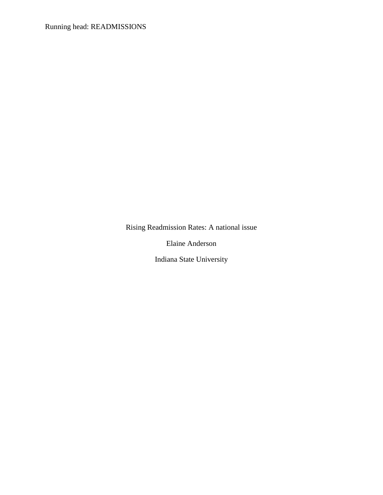Running head: READMISSIONS

Rising Readmission Rates: A national issue

Elaine Anderson

Indiana State University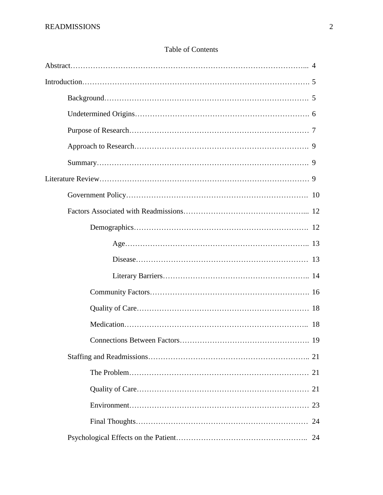# Table of Contents

| 19 |
|----|
| 21 |
|    |
|    |
| 23 |
| 24 |
| 24 |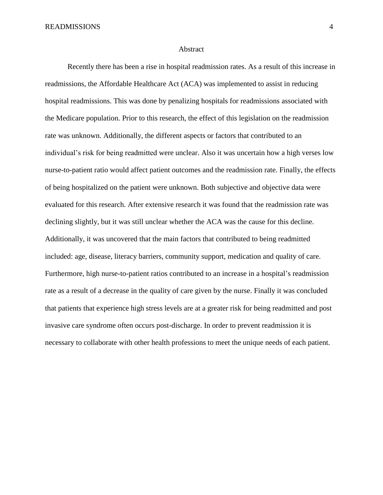#### Abstract

Recently there has been a rise in hospital readmission rates. As a result of this increase in readmissions, the Affordable Healthcare Act (ACA) was implemented to assist in reducing hospital readmissions. This was done by penalizing hospitals for readmissions associated with the Medicare population. Prior to this research, the effect of this legislation on the readmission rate was unknown. Additionally, the different aspects or factors that contributed to an individual's risk for being readmitted were unclear. Also it was uncertain how a high verses low nurse-to-patient ratio would affect patient outcomes and the readmission rate. Finally, the effects of being hospitalized on the patient were unknown. Both subjective and objective data were evaluated for this research. After extensive research it was found that the readmission rate was declining slightly, but it was still unclear whether the ACA was the cause for this decline. Additionally, it was uncovered that the main factors that contributed to being readmitted included: age, disease, literacy barriers, community support, medication and quality of care. Furthermore, high nurse-to-patient ratios contributed to an increase in a hospital's readmission rate as a result of a decrease in the quality of care given by the nurse. Finally it was concluded that patients that experience high stress levels are at a greater risk for being readmitted and post invasive care syndrome often occurs post-discharge. In order to prevent readmission it is necessary to collaborate with other health professions to meet the unique needs of each patient.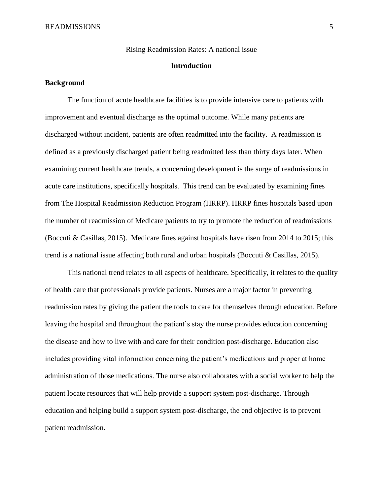#### Rising Readmission Rates: A national issue

# **Introduction**

# **Background**

The function of acute healthcare facilities is to provide intensive care to patients with improvement and eventual discharge as the optimal outcome. While many patients are discharged without incident, patients are often readmitted into the facility. A readmission is defined as a previously discharged patient being readmitted less than thirty days later. When examining current healthcare trends, a concerning development is the surge of readmissions in acute care institutions, specifically hospitals. This trend can be evaluated by examining fines from The Hospital Readmission Reduction Program (HRRP). HRRP fines hospitals based upon the number of readmission of Medicare patients to try to promote the reduction of readmissions (Boccuti & Casillas, 2015). Medicare fines against hospitals have risen from 2014 to 2015; this trend is a national issue affecting both rural and urban hospitals (Boccuti & Casillas, 2015).

This national trend relates to all aspects of healthcare. Specifically, it relates to the quality of health care that professionals provide patients. Nurses are a major factor in preventing readmission rates by giving the patient the tools to care for themselves through education. Before leaving the hospital and throughout the patient's stay the nurse provides education concerning the disease and how to live with and care for their condition post-discharge. Education also includes providing vital information concerning the patient's medications and proper at home administration of those medications. The nurse also collaborates with a social worker to help the patient locate resources that will help provide a support system post-discharge. Through education and helping build a support system post-discharge, the end objective is to prevent patient readmission.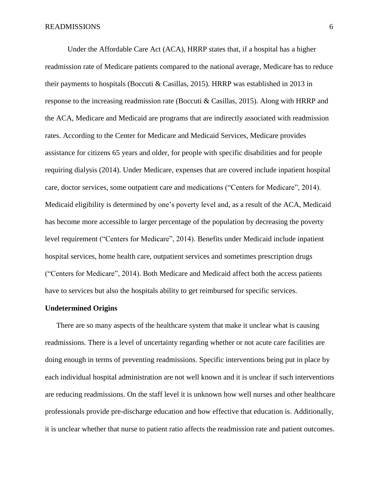Under the Affordable Care Act (ACA), HRRP states that, if a hospital has a higher readmission rate of Medicare patients compared to the national average, Medicare has to reduce their payments to hospitals (Boccuti & Casillas, 2015). HRRP was established in 2013 in response to the increasing readmission rate (Boccuti & Casillas, 2015). Along with HRRP and the ACA, Medicare and Medicaid are programs that are indirectly associated with readmission rates. According to the Center for Medicare and Medicaid Services, Medicare provides assistance for citizens 65 years and older, for people with specific disabilities and for people requiring dialysis (2014). Under Medicare, expenses that are covered include inpatient hospital care, doctor services, some outpatient care and medications ("Centers for Medicare", 2014). Medicaid eligibility is determined by one's poverty level and, as a result of the ACA, Medicaid has become more accessible to larger percentage of the population by decreasing the poverty level requirement ("Centers for Medicare", 2014). Benefits under Medicaid include inpatient hospital services, home health care, outpatient services and sometimes prescription drugs ("Centers for Medicare", 2014). Both Medicare and Medicaid affect both the access patients have to services but also the hospitals ability to get reimbursed for specific services.

#### **Undetermined Origins**

There are so many aspects of the healthcare system that make it unclear what is causing readmissions. There is a level of uncertainty regarding whether or not acute care facilities are doing enough in terms of preventing readmissions. Specific interventions being put in place by each individual hospital administration are not well known and it is unclear if such interventions are reducing readmissions. On the staff level it is unknown how well nurses and other healthcare professionals provide pre-discharge education and how effective that education is. Additionally, it is unclear whether that nurse to patient ratio affects the readmission rate and patient outcomes.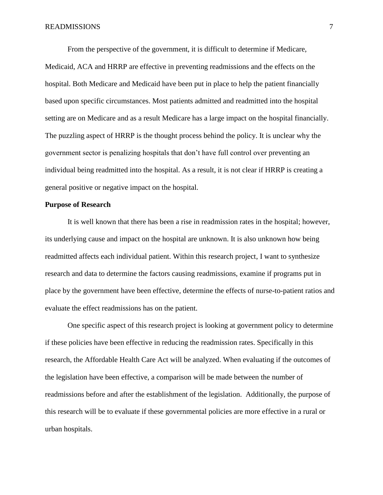From the perspective of the government, it is difficult to determine if Medicare, Medicaid, ACA and HRRP are effective in preventing readmissions and the effects on the hospital. Both Medicare and Medicaid have been put in place to help the patient financially based upon specific circumstances. Most patients admitted and readmitted into the hospital setting are on Medicare and as a result Medicare has a large impact on the hospital financially. The puzzling aspect of HRRP is the thought process behind the policy. It is unclear why the government sector is penalizing hospitals that don't have full control over preventing an individual being readmitted into the hospital. As a result, it is not clear if HRRP is creating a general positive or negative impact on the hospital.

# **Purpose of Research**

It is well known that there has been a rise in readmission rates in the hospital; however, its underlying cause and impact on the hospital are unknown. It is also unknown how being readmitted affects each individual patient. Within this research project, I want to synthesize research and data to determine the factors causing readmissions, examine if programs put in place by the government have been effective, determine the effects of nurse-to-patient ratios and evaluate the effect readmissions has on the patient.

One specific aspect of this research project is looking at government policy to determine if these policies have been effective in reducing the readmission rates. Specifically in this research, the Affordable Health Care Act will be analyzed. When evaluating if the outcomes of the legislation have been effective, a comparison will be made between the number of readmissions before and after the establishment of the legislation. Additionally, the purpose of this research will be to evaluate if these governmental policies are more effective in a rural or urban hospitals.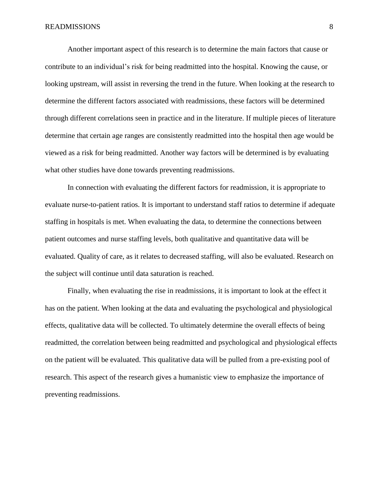Another important aspect of this research is to determine the main factors that cause or contribute to an individual's risk for being readmitted into the hospital. Knowing the cause, or looking upstream, will assist in reversing the trend in the future. When looking at the research to determine the different factors associated with readmissions, these factors will be determined through different correlations seen in practice and in the literature. If multiple pieces of literature determine that certain age ranges are consistently readmitted into the hospital then age would be viewed as a risk for being readmitted. Another way factors will be determined is by evaluating what other studies have done towards preventing readmissions.

In connection with evaluating the different factors for readmission, it is appropriate to evaluate nurse-to-patient ratios. It is important to understand staff ratios to determine if adequate staffing in hospitals is met. When evaluating the data, to determine the connections between patient outcomes and nurse staffing levels, both qualitative and quantitative data will be evaluated. Quality of care, as it relates to decreased staffing, will also be evaluated. Research on the subject will continue until data saturation is reached.

Finally, when evaluating the rise in readmissions, it is important to look at the effect it has on the patient. When looking at the data and evaluating the psychological and physiological effects, qualitative data will be collected. To ultimately determine the overall effects of being readmitted, the correlation between being readmitted and psychological and physiological effects on the patient will be evaluated. This qualitative data will be pulled from a pre-existing pool of research. This aspect of the research gives a humanistic view to emphasize the importance of preventing readmissions.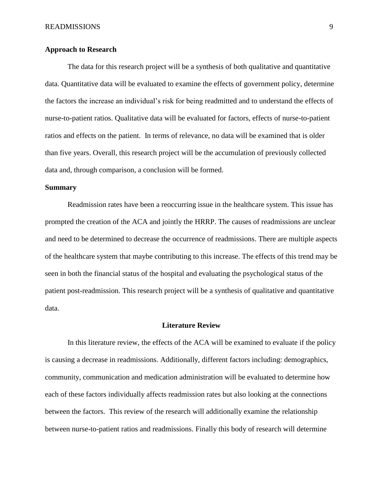# **Approach to Research**

The data for this research project will be a synthesis of both qualitative and quantitative data. Quantitative data will be evaluated to examine the effects of government policy, determine the factors the increase an individual's risk for being readmitted and to understand the effects of nurse-to-patient ratios. Qualitative data will be evaluated for factors, effects of nurse-to-patient ratios and effects on the patient. In terms of relevance, no data will be examined that is older than five years. Overall, this research project will be the accumulation of previously collected data and, through comparison, a conclusion will be formed.

# **Summary**

Readmission rates have been a reoccurring issue in the healthcare system. This issue has prompted the creation of the ACA and jointly the HRRP. The causes of readmissions are unclear and need to be determined to decrease the occurrence of readmissions. There are multiple aspects of the healthcare system that maybe contributing to this increase. The effects of this trend may be seen in both the financial status of the hospital and evaluating the psychological status of the patient post-readmission. This research project will be a synthesis of qualitative and quantitative data.

#### **Literature Review**

In this literature review, the effects of the ACA will be examined to evaluate if the policy is causing a decrease in readmissions. Additionally, different factors including: demographics, community, communication and medication administration will be evaluated to determine how each of these factors individually affects readmission rates but also looking at the connections between the factors. This review of the research will additionally examine the relationship between nurse-to-patient ratios and readmissions. Finally this body of research will determine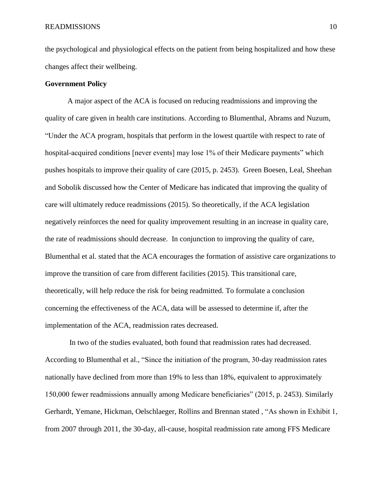the psychological and physiological effects on the patient from being hospitalized and how these changes affect their wellbeing.

# **Government Policy**

A major aspect of the ACA is focused on reducing readmissions and improving the quality of care given in health care institutions. According to Blumenthal, Abrams and Nuzum, "Under the ACA program, hospitals that perform in the lowest quartile with respect to rate of hospital-acquired conditions [never events] may lose 1% of their Medicare payments" which pushes hospitals to improve their quality of care (2015, p. 2453). Green Boesen, Leal, Sheehan and Sobolik discussed how the Center of Medicare has indicated that improving the quality of care will ultimately reduce readmissions (2015). So theoretically, if the ACA legislation negatively reinforces the need for quality improvement resulting in an increase in quality care, the rate of readmissions should decrease. In conjunction to improving the quality of care, Blumenthal et al. stated that the ACA encourages the formation of assistive care organizations to improve the transition of care from different facilities (2015). This transitional care, theoretically, will help reduce the risk for being readmitted. To formulate a conclusion concerning the effectiveness of the ACA, data will be assessed to determine if, after the implementation of the ACA, readmission rates decreased.

In two of the studies evaluated, both found that readmission rates had decreased. According to Blumenthal et al., "Since the initiation of the program, 30-day readmission rates nationally have declined from more than 19% to less than 18%, equivalent to approximately 150,000 fewer readmissions annually among Medicare beneficiaries" (2015, p. 2453). Similarly Gerhardt, Yemane, Hickman, Oelschlaeger, Rollins and Brennan stated , "As shown in Exhibit 1, from 2007 through 2011, the 30-day, all-cause, hospital readmission rate among FFS Medicare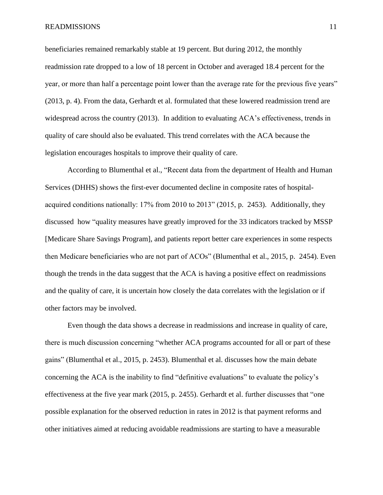beneficiaries remained remarkably stable at 19 percent. But during 2012, the monthly readmission rate dropped to a low of 18 percent in October and averaged 18.4 percent for the year, or more than half a percentage point lower than the average rate for the previous five years" (2013, p. 4). From the data, Gerhardt et al. formulated that these lowered readmission trend are widespread across the country (2013). In addition to evaluating ACA's effectiveness, trends in quality of care should also be evaluated. This trend correlates with the ACA because the legislation encourages hospitals to improve their quality of care.

According to Blumenthal et al., "Recent data from the department of Health and Human Services (DHHS) shows the first-ever documented decline in composite rates of hospitalacquired conditions nationally: 17% from 2010 to 2013" (2015, p. 2453). Additionally, they discussed how "quality measures have greatly improved for the 33 indicators tracked by MSSP [Medicare Share Savings Program], and patients report better care experiences in some respects then Medicare beneficiaries who are not part of ACOs" (Blumenthal et al., 2015, p. 2454). Even though the trends in the data suggest that the ACA is having a positive effect on readmissions and the quality of care, it is uncertain how closely the data correlates with the legislation or if other factors may be involved.

Even though the data shows a decrease in readmissions and increase in quality of care, there is much discussion concerning "whether ACA programs accounted for all or part of these gains" (Blumenthal et al., 2015, p. 2453). Blumenthal et al. discusses how the main debate concerning the ACA is the inability to find "definitive evaluations" to evaluate the policy's effectiveness at the five year mark (2015, p. 2455). Gerhardt et al. further discusses that "one possible explanation for the observed reduction in rates in 2012 is that payment reforms and other initiatives aimed at reducing avoidable readmissions are starting to have a measurable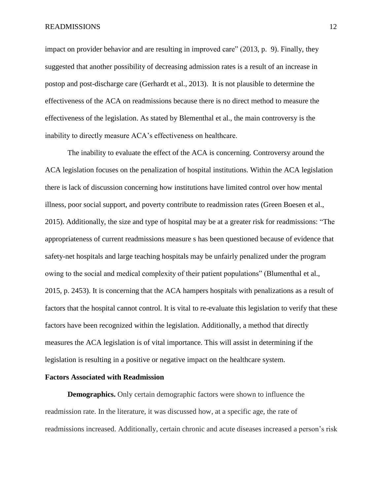impact on provider behavior and are resulting in improved care" (2013, p. 9). Finally, they suggested that another possibility of decreasing admission rates is a result of an increase in postop and post-discharge care (Gerhardt et al., 2013). It is not plausible to determine the effectiveness of the ACA on readmissions because there is no direct method to measure the effectiveness of the legislation. As stated by Blementhal et al., the main controversy is the inability to directly measure ACA's effectiveness on healthcare.

The inability to evaluate the effect of the ACA is concerning. Controversy around the ACA legislation focuses on the penalization of hospital institutions. Within the ACA legislation there is lack of discussion concerning how institutions have limited control over how mental illness, poor social support, and poverty contribute to readmission rates (Green Boesen et al., 2015). Additionally, the size and type of hospital may be at a greater risk for readmissions: "The appropriateness of current readmissions measure s has been questioned because of evidence that safety-net hospitals and large teaching hospitals may be unfairly penalized under the program owing to the social and medical complexity of their patient populations" (Blumenthal et al., 2015, p. 2453). It is concerning that the ACA hampers hospitals with penalizations as a result of factors that the hospital cannot control. It is vital to re-evaluate this legislation to verify that these factors have been recognized within the legislation. Additionally, a method that directly measures the ACA legislation is of vital importance. This will assist in determining if the legislation is resulting in a positive or negative impact on the healthcare system.

#### **Factors Associated with Readmission**

**Demographics.** Only certain demographic factors were shown to influence the readmission rate. In the literature, it was discussed how, at a specific age, the rate of readmissions increased. Additionally, certain chronic and acute diseases increased a person's risk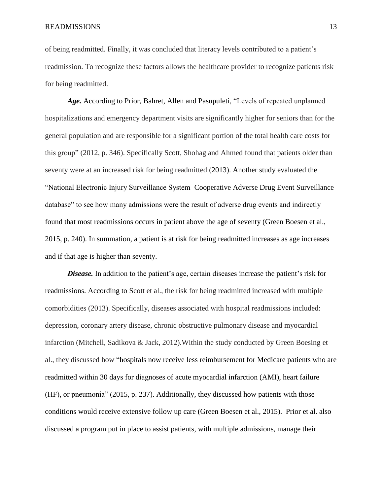of being readmitted. Finally, it was concluded that literacy levels contributed to a patient's readmission. To recognize these factors allows the healthcare provider to recognize patients risk for being readmitted.

*Age.* According to Prior, Bahret, Allen and Pasupuleti, "Levels of repeated unplanned hospitalizations and emergency department visits are significantly higher for seniors than for the general population and are responsible for a significant portion of the total health care costs for this group" (2012, p. 346). Specifically Scott, Shohag and Ahmed found that patients older than seventy were at an increased risk for being readmitted (2013). Another study evaluated the "National Electronic Injury Surveillance System–Cooperative Adverse Drug Event Surveillance database" to see how many admissions were the result of adverse drug events and indirectly found that most readmissions occurs in patient above the age of seventy (Green Boesen et al., 2015, p. 240). In summation, a patient is at risk for being readmitted increases as age increases and if that age is higher than seventy.

*Disease.* In addition to the patient's age, certain diseases increase the patient's risk for readmissions. According to Scott et al., the risk for being readmitted increased with multiple comorbidities (2013). Specifically, diseases associated with hospital readmissions included: depression, coronary artery disease, chronic obstructive pulmonary disease and myocardial infarction (Mitchell, Sadikova & Jack, 2012).Within the study conducted by Green Boesing et al., they discussed how "hospitals now receive less reimbursement for Medicare patients who are readmitted within 30 days for diagnoses of acute myocardial infarction (AMI), heart failure (HF), or pneumonia" (2015, p. 237). Additionally, they discussed how patients with those conditions would receive extensive follow up care (Green Boesen et al., 2015). Prior et al. also discussed a program put in place to assist patients, with multiple admissions, manage their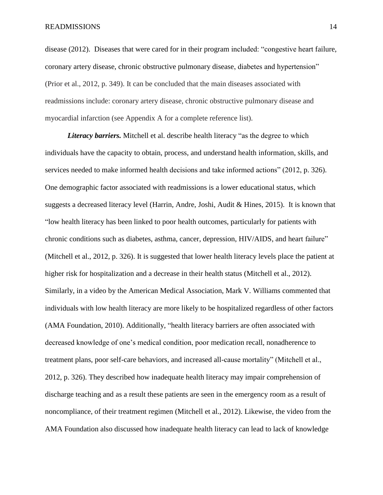disease (2012). Diseases that were cared for in their program included: "congestive heart failure, coronary artery disease, chronic obstructive pulmonary disease, diabetes and hypertension" (Prior et al., 2012, p. 349). It can be concluded that the main diseases associated with readmissions include: coronary artery disease, chronic obstructive pulmonary disease and myocardial infarction (see Appendix A for a complete reference list).

*Literacy barriers.* Mitchell et al. describe health literacy "as the degree to which individuals have the capacity to obtain, process, and understand health information, skills, and services needed to make informed health decisions and take informed actions" (2012, p. 326). One demographic factor associated with readmissions is a lower educational status, which suggests a decreased literacy level (Harrin, Andre, Joshi, Audit & Hines, 2015). It is known that "low health literacy has been linked to poor health outcomes, particularly for patients with chronic conditions such as diabetes, asthma, cancer, depression, HIV/AIDS, and heart failure" (Mitchell et al., 2012, p. 326). It is suggested that lower health literacy levels place the patient at higher risk for hospitalization and a decrease in their health status (Mitchell et al., 2012). Similarly, in a video by the American Medical Association, Mark V. Williams commented that individuals with low health literacy are more likely to be hospitalized regardless of other factors (AMA Foundation, 2010). Additionally, "health literacy barriers are often associated with decreased knowledge of one's medical condition, poor medication recall, nonadherence to treatment plans, poor self-care behaviors, and increased all-cause mortality" (Mitchell et al., 2012, p. 326). They described how inadequate health literacy may impair comprehension of discharge teaching and as a result these patients are seen in the emergency room as a result of noncompliance, of their treatment regimen (Mitchell et al., 2012). Likewise, the video from the AMA Foundation also discussed how inadequate health literacy can lead to lack of knowledge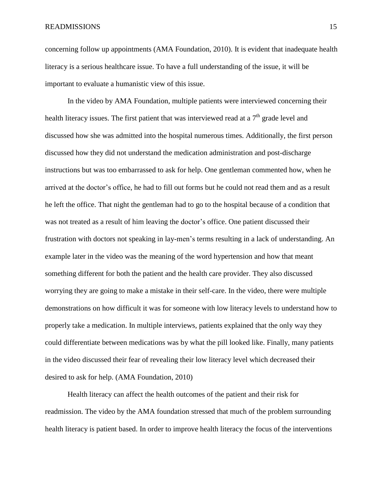concerning follow up appointments (AMA Foundation, 2010). It is evident that inadequate health literacy is a serious healthcare issue. To have a full understanding of the issue, it will be important to evaluate a humanistic view of this issue.

In the video by AMA Foundation, multiple patients were interviewed concerning their health literacy issues. The first patient that was interviewed read at a  $7<sup>th</sup>$  grade level and discussed how she was admitted into the hospital numerous times. Additionally, the first person discussed how they did not understand the medication administration and post-discharge instructions but was too embarrassed to ask for help. One gentleman commented how, when he arrived at the doctor's office, he had to fill out forms but he could not read them and as a result he left the office. That night the gentleman had to go to the hospital because of a condition that was not treated as a result of him leaving the doctor's office. One patient discussed their frustration with doctors not speaking in lay-men's terms resulting in a lack of understanding. An example later in the video was the meaning of the word hypertension and how that meant something different for both the patient and the health care provider. They also discussed worrying they are going to make a mistake in their self-care. In the video, there were multiple demonstrations on how difficult it was for someone with low literacy levels to understand how to properly take a medication. In multiple interviews, patients explained that the only way they could differentiate between medications was by what the pill looked like. Finally, many patients in the video discussed their fear of revealing their low literacy level which decreased their desired to ask for help. (AMA Foundation, 2010)

Health literacy can affect the health outcomes of the patient and their risk for readmission. The video by the AMA foundation stressed that much of the problem surrounding health literacy is patient based. In order to improve health literacy the focus of the interventions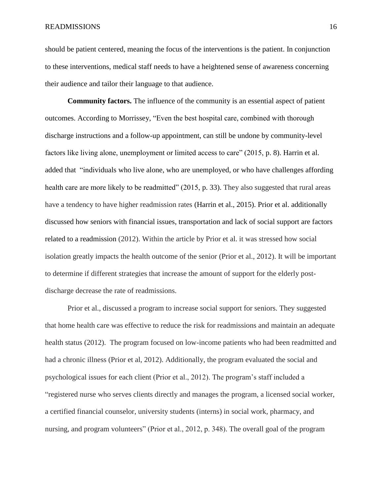should be patient centered, meaning the focus of the interventions is the patient. In conjunction to these interventions, medical staff needs to have a heightened sense of awareness concerning their audience and tailor their language to that audience.

**Community factors.** The influence of the community is an essential aspect of patient outcomes. According to Morrissey, "Even the best hospital care, combined with thorough discharge instructions and a follow-up appointment, can still be undone by community-level factors like living alone, unemployment or limited access to care" (2015, p. 8). Harrin et al. added that "individuals who live alone, who are unemployed, or who have challenges affording health care are more likely to be readmitted" (2015, p. 33). They also suggested that rural areas have a tendency to have higher readmission rates (Harrin et al., 2015). Prior et al. additionally discussed how seniors with financial issues, transportation and lack of social support are factors related to a readmission (2012). Within the article by Prior et al. it was stressed how social isolation greatly impacts the health outcome of the senior (Prior et al., 2012). It will be important to determine if different strategies that increase the amount of support for the elderly postdischarge decrease the rate of readmissions.

Prior et al., discussed a program to increase social support for seniors. They suggested that home health care was effective to reduce the risk for readmissions and maintain an adequate health status (2012). The program focused on low-income patients who had been readmitted and had a chronic illness (Prior et al, 2012). Additionally, the program evaluated the social and psychological issues for each client (Prior et al., 2012). The program's staff included a "registered nurse who serves clients directly and manages the program, a licensed social worker, a certified financial counselor, university students (interns) in social work, pharmacy, and nursing, and program volunteers" (Prior et al., 2012, p. 348). The overall goal of the program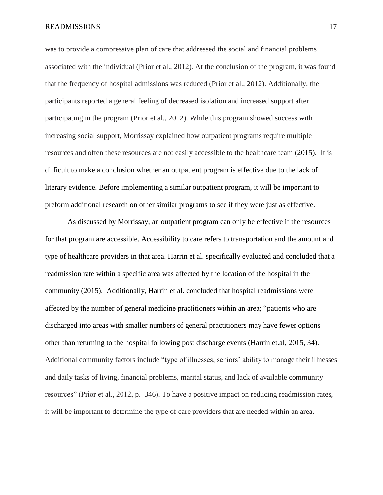was to provide a compressive plan of care that addressed the social and financial problems associated with the individual (Prior et al., 2012). At the conclusion of the program, it was found that the frequency of hospital admissions was reduced (Prior et al., 2012). Additionally, the participants reported a general feeling of decreased isolation and increased support after participating in the program (Prior et al., 2012). While this program showed success with increasing social support, Morrissay explained how outpatient programs require multiple resources and often these resources are not easily accessible to the healthcare team (2015). It is difficult to make a conclusion whether an outpatient program is effective due to the lack of literary evidence. Before implementing a similar outpatient program, it will be important to preform additional research on other similar programs to see if they were just as effective.

As discussed by Morrissay, an outpatient program can only be effective if the resources for that program are accessible. Accessibility to care refers to transportation and the amount and type of healthcare providers in that area. Harrin et al. specifically evaluated and concluded that a readmission rate within a specific area was affected by the location of the hospital in the community (2015). Additionally, Harrin et al. concluded that hospital readmissions were affected by the number of general medicine practitioners within an area; "patients who are discharged into areas with smaller numbers of general practitioners may have fewer options other than returning to the hospital following post discharge events (Harrin et.al, 2015, 34). Additional community factors include "type of illnesses, seniors' ability to manage their illnesses and daily tasks of living, financial problems, marital status, and lack of available community resources" (Prior et al., 2012, p. 346). To have a positive impact on reducing readmission rates, it will be important to determine the type of care providers that are needed within an area.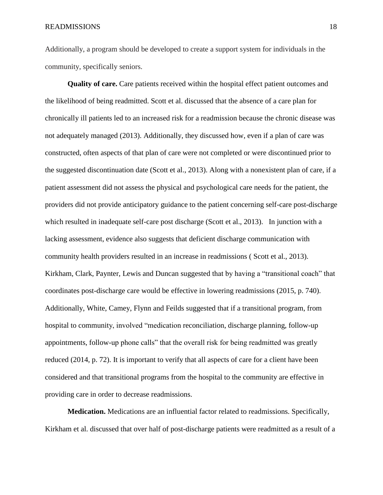Additionally, a program should be developed to create a support system for individuals in the community, specifically seniors.

**Quality of care.** Care patients received within the hospital effect patient outcomes and the likelihood of being readmitted. Scott et al. discussed that the absence of a care plan for chronically ill patients led to an increased risk for a readmission because the chronic disease was not adequately managed (2013). Additionally, they discussed how, even if a plan of care was constructed, often aspects of that plan of care were not completed or were discontinued prior to the suggested discontinuation date (Scott et al., 2013). Along with a nonexistent plan of care, if a patient assessment did not assess the physical and psychological care needs for the patient, the providers did not provide anticipatory guidance to the patient concerning self-care post-discharge which resulted in inadequate self-care post discharge (Scott et al., 2013). In junction with a lacking assessment, evidence also suggests that deficient discharge communication with community health providers resulted in an increase in readmissions ( Scott et al., 2013). Kirkham, Clark, Paynter, Lewis and Duncan suggested that by having a "transitional coach" that coordinates post-discharge care would be effective in lowering readmissions (2015, p. 740). Additionally, White, Camey, Flynn and Feilds suggested that if a transitional program, from hospital to community, involved "medication reconciliation, discharge planning, follow-up appointments, follow-up phone calls" that the overall risk for being readmitted was greatly reduced (2014, p. 72). It is important to verify that all aspects of care for a client have been considered and that transitional programs from the hospital to the community are effective in providing care in order to decrease readmissions.

**Medication.** Medications are an influential factor related to readmissions. Specifically, Kirkham et al. discussed that over half of post-discharge patients were readmitted as a result of a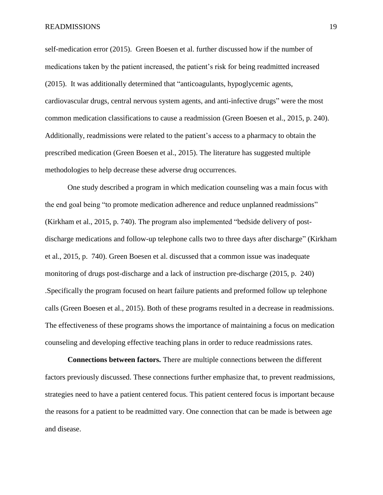self-medication error (2015). Green Boesen et al. further discussed how if the number of medications taken by the patient increased, the patient's risk for being readmitted increased (2015). It was additionally determined that "anticoagulants, hypoglycemic agents, cardiovascular drugs, central nervous system agents, and anti-infective drugs" were the most common medication classifications to cause a readmission (Green Boesen et al., 2015, p. 240). Additionally, readmissions were related to the patient's access to a pharmacy to obtain the prescribed medication (Green Boesen et al., 2015). The literature has suggested multiple methodologies to help decrease these adverse drug occurrences.

One study described a program in which medication counseling was a main focus with the end goal being "to promote medication adherence and reduce unplanned readmissions" (Kirkham et al., 2015, p. 740). The program also implemented "bedside delivery of postdischarge medications and follow-up telephone calls two to three days after discharge" (Kirkham et al., 2015, p. 740). Green Boesen et al. discussed that a common issue was inadequate monitoring of drugs post-discharge and a lack of instruction pre-discharge (2015, p. 240) .Specifically the program focused on heart failure patients and preformed follow up telephone calls (Green Boesen et al., 2015). Both of these programs resulted in a decrease in readmissions. The effectiveness of these programs shows the importance of maintaining a focus on medication counseling and developing effective teaching plans in order to reduce readmissions rates.

**Connections between factors.** There are multiple connections between the different factors previously discussed. These connections further emphasize that, to prevent readmissions, strategies need to have a patient centered focus. This patient centered focus is important because the reasons for a patient to be readmitted vary. One connection that can be made is between age and disease.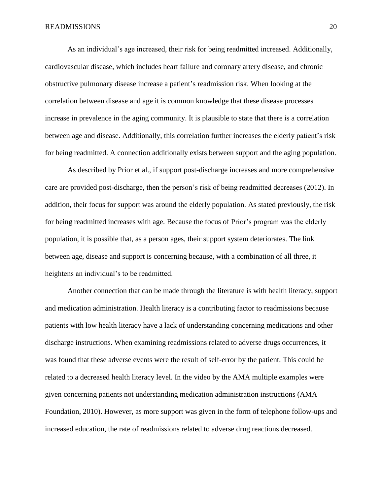As an individual's age increased, their risk for being readmitted increased. Additionally, cardiovascular disease, which includes heart failure and coronary artery disease, and chronic obstructive pulmonary disease increase a patient's readmission risk. When looking at the correlation between disease and age it is common knowledge that these disease processes increase in prevalence in the aging community. It is plausible to state that there is a correlation between age and disease. Additionally, this correlation further increases the elderly patient's risk for being readmitted. A connection additionally exists between support and the aging population.

As described by Prior et al., if support post-discharge increases and more comprehensive care are provided post-discharge, then the person's risk of being readmitted decreases (2012). In addition, their focus for support was around the elderly population. As stated previously, the risk for being readmitted increases with age. Because the focus of Prior's program was the elderly population, it is possible that, as a person ages, their support system deteriorates. The link between age, disease and support is concerning because, with a combination of all three, it heightens an individual's to be readmitted.

Another connection that can be made through the literature is with health literacy, support and medication administration. Health literacy is a contributing factor to readmissions because patients with low health literacy have a lack of understanding concerning medications and other discharge instructions. When examining readmissions related to adverse drugs occurrences, it was found that these adverse events were the result of self-error by the patient. This could be related to a decreased health literacy level. In the video by the AMA multiple examples were given concerning patients not understanding medication administration instructions (AMA Foundation, 2010). However, as more support was given in the form of telephone follow-ups and increased education, the rate of readmissions related to adverse drug reactions decreased.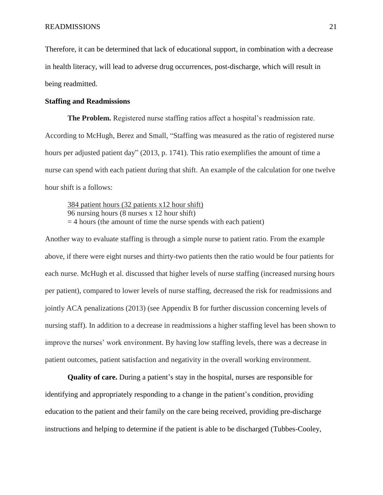Therefore, it can be determined that lack of educational support, in combination with a decrease in health literacy, will lead to adverse drug occurrences, post-discharge, which will result in being readmitted.

## **Staffing and Readmissions**

**The Problem.** Registered nurse staffing ratios affect a hospital's readmission rate. According to McHugh, Berez and Small, "Staffing was measured as the ratio of registered nurse hours per adjusted patient day" (2013, p. 1741). This ratio exemplifies the amount of time a nurse can spend with each patient during that shift. An example of the calculation for one twelve hour shift is a follows:

384 patient hours (32 patients x12 hour shift) 96 nursing hours (8 nurses x 12 hour shift)  $=$  4 hours (the amount of time the nurse spends with each patient)

Another way to evaluate staffing is through a simple nurse to patient ratio. From the example above, if there were eight nurses and thirty-two patients then the ratio would be four patients for each nurse. McHugh et al. discussed that higher levels of nurse staffing (increased nursing hours per patient), compared to lower levels of nurse staffing, decreased the risk for readmissions and jointly ACA penalizations (2013) (see Appendix B for further discussion concerning levels of nursing staff). In addition to a decrease in readmissions a higher staffing level has been shown to improve the nurses' work environment. By having low staffing levels, there was a decrease in patient outcomes, patient satisfaction and negativity in the overall working environment.

**Quality of care.** During a patient's stay in the hospital, nurses are responsible for identifying and appropriately responding to a change in the patient's condition, providing education to the patient and their family on the care being received, providing pre-discharge instructions and helping to determine if the patient is able to be discharged (Tubbes-Cooley,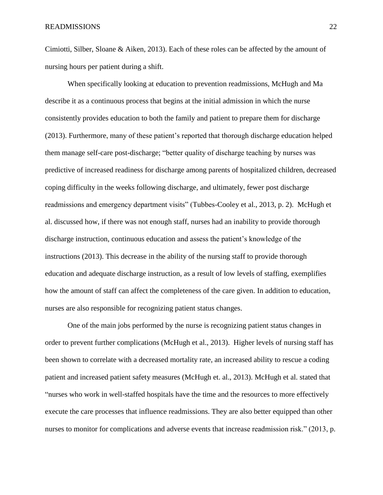Cimiotti, Silber, Sloane & Aiken, 2013). Each of these roles can be affected by the amount of nursing hours per patient during a shift.

When specifically looking at education to prevention readmissions, McHugh and Ma describe it as a continuous process that begins at the initial admission in which the nurse consistently provides education to both the family and patient to prepare them for discharge (2013). Furthermore, many of these patient's reported that thorough discharge education helped them manage self-care post-discharge; "better quality of discharge teaching by nurses was predictive of increased readiness for discharge among parents of hospitalized children, decreased coping difficulty in the weeks following discharge, and ultimately, fewer post discharge readmissions and emergency department visits" (Tubbes-Cooley et al., 2013, p. 2). McHugh et al. discussed how, if there was not enough staff, nurses had an inability to provide thorough discharge instruction, continuous education and assess the patient's knowledge of the instructions (2013). This decrease in the ability of the nursing staff to provide thorough education and adequate discharge instruction, as a result of low levels of staffing, exemplifies how the amount of staff can affect the completeness of the care given. In addition to education, nurses are also responsible for recognizing patient status changes.

One of the main jobs performed by the nurse is recognizing patient status changes in order to prevent further complications (McHugh et al., 2013). Higher levels of nursing staff has been shown to correlate with a decreased mortality rate, an increased ability to rescue a coding patient and increased patient safety measures (McHugh et. al., 2013). McHugh et al. stated that "nurses who work in well-staffed hospitals have the time and the resources to more effectively execute the care processes that influence readmissions. They are also better equipped than other nurses to monitor for complications and adverse events that increase readmission risk." (2013, p.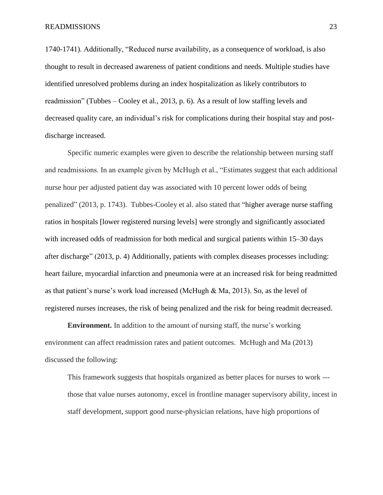1740-1741). Additionally, "Reduced nurse availability, as a consequence of workload, is also thought to result in decreased awareness of patient conditions and needs. Multiple studies have identified unresolved problems during an index hospitalization as likely contributors to readmission" (Tubbes – Cooley et al., 2013, p. 6). As a result of low staffing levels and decreased quality care, an individual's risk for complications during their hospital stay and postdischarge increased.

Specific numeric examples were given to describe the relationship between nursing staff and readmissions. In an example given by McHugh et al., "Estimates suggest that each additional nurse hour per adjusted patient day was associated with 10 percent lower odds of being penalized" (2013, p. 1743). Tubbes-Cooley et al. also stated that "higher average nurse staffing ratios in hospitals [lower registered nursing levels] were strongly and significantly associated with increased odds of readmission for both medical and surgical patients within 15–30 days after discharge" (2013, p. 4) Additionally, patients with complex diseases processes including: heart failure, myocardial infarction and pneumonia were at an increased risk for being readmitted as that patient's nurse's work load increased (McHugh & Ma, 2013). So, as the level of registered nurses increases, the risk of being penalized and the risk for being readmit decreased.

**Environment.** In addition to the amount of nursing staff, the nurse's working environment can affect readmission rates and patient outcomes. McHugh and Ma (2013) discussed the following:

This framework suggests that hospitals organized as better places for nurses to work -- those that value nurses autonomy, excel in frontline manager supervisory ability, incest in staff development, support good nurse-physician relations, have high proportions of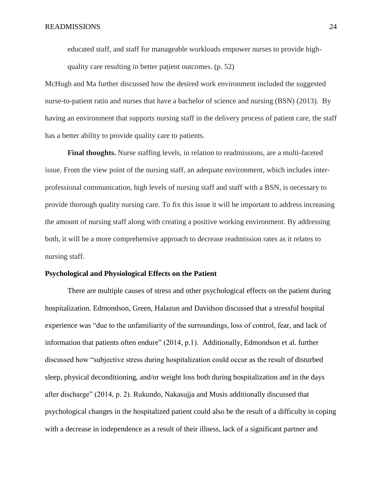educated staff, and staff for manageable workloads empower nurses to provide highquality care resulting in better patient outcomes. (p. 52)

McHugh and Ma further discussed how the desired work environment included the suggested nurse-to-patient ratio and nurses that have a bachelor of science and nursing (BSN) (2013). By having an environment that supports nursing staff in the delivery process of patient care, the staff has a better ability to provide quality care to patients.

**Final thoughts.** Nurse staffing levels, in relation to readmissions, are a multi-faceted issue. From the view point of the nursing staff, an adequate environment, which includes interprofessional communication, high levels of nursing staff and staff with a BSN, is necessary to provide thorough quality nursing care. To fix this issue it will be important to address increasing the amount of nursing staff along with creating a positive working environment. By addressing both, it will be a more comprehensive approach to decrease readmission rates as it relates to nursing staff.

# **Psychological and Physiological Effects on the Patient**

There are multiple causes of stress and other psychological effects on the patient during hospitalization. Edmondson, Green, Halazun and Davidson discussed that a stressful hospital experience was "due to the unfamiliarity of the surroundings, loss of control, fear, and lack of information that patients often endure" (2014, p.1). Additionally, Edmondson et al. further discussed how "subjective stress during hospitalization could occur as the result of disturbed sleep, physical deconditioning, and/or weight loss both during hospitalization and in the days after discharge" (2014, p. 2). Rukundo, Nakasujja and Musis additionally discussed that psychological changes in the hospitalized patient could also be the result of a difficulty in coping with a decrease in independence as a result of their illness, lack of a significant partner and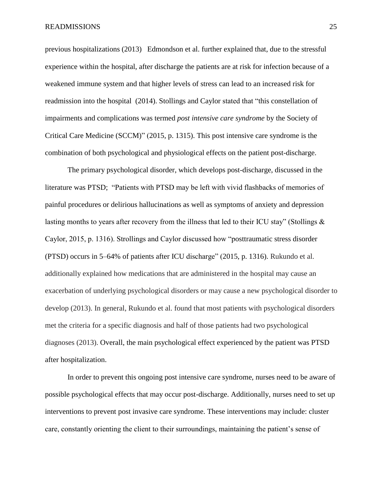previous hospitalizations (2013) Edmondson et al. further explained that, due to the stressful experience within the hospital, after discharge the patients are at risk for infection because of a weakened immune system and that higher levels of stress can lead to an increased risk for readmission into the hospital (2014). Stollings and Caylor stated that "this constellation of impairments and complications was termed *post intensive care syndrome* by the Society of Critical Care Medicine (SCCM)" (2015, p. 1315). This post intensive care syndrome is the combination of both psychological and physiological effects on the patient post-discharge.

The primary psychological disorder, which develops post-discharge, discussed in the literature was PTSD; "Patients with PTSD may be left with vivid flashbacks of memories of painful procedures or delirious hallucinations as well as symptoms of anxiety and depression lasting months to years after recovery from the illness that led to their ICU stay" (Stollings & Caylor, 2015, p. 1316). Strollings and Caylor discussed how "posttraumatic stress disorder (PTSD) occurs in 5–64% of patients after ICU discharge" (2015, p. 1316). Rukundo et al. additionally explained how medications that are administered in the hospital may cause an exacerbation of underlying psychological disorders or may cause a new psychological disorder to develop (2013). In general, Rukundo et al. found that most patients with psychological disorders met the criteria for a specific diagnosis and half of those patients had two psychological diagnoses (2013). Overall, the main psychological effect experienced by the patient was PTSD after hospitalization.

In order to prevent this ongoing post intensive care syndrome, nurses need to be aware of possible psychological effects that may occur post-discharge. Additionally, nurses need to set up interventions to prevent post invasive care syndrome. These interventions may include: cluster care, constantly orienting the client to their surroundings, maintaining the patient's sense of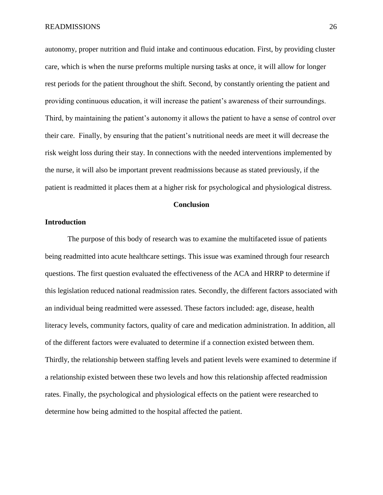autonomy, proper nutrition and fluid intake and continuous education. First, by providing cluster care, which is when the nurse preforms multiple nursing tasks at once, it will allow for longer rest periods for the patient throughout the shift. Second, by constantly orienting the patient and providing continuous education, it will increase the patient's awareness of their surroundings. Third, by maintaining the patient's autonomy it allows the patient to have a sense of control over their care. Finally, by ensuring that the patient's nutritional needs are meet it will decrease the risk weight loss during their stay. In connections with the needed interventions implemented by the nurse, it will also be important prevent readmissions because as stated previously, if the patient is readmitted it places them at a higher risk for psychological and physiological distress.

#### **Conclusion**

#### **Introduction**

The purpose of this body of research was to examine the multifaceted issue of patients being readmitted into acute healthcare settings. This issue was examined through four research questions. The first question evaluated the effectiveness of the ACA and HRRP to determine if this legislation reduced national readmission rates. Secondly, the different factors associated with an individual being readmitted were assessed. These factors included: age, disease, health literacy levels, community factors, quality of care and medication administration. In addition, all of the different factors were evaluated to determine if a connection existed between them. Thirdly, the relationship between staffing levels and patient levels were examined to determine if a relationship existed between these two levels and how this relationship affected readmission rates. Finally, the psychological and physiological effects on the patient were researched to determine how being admitted to the hospital affected the patient.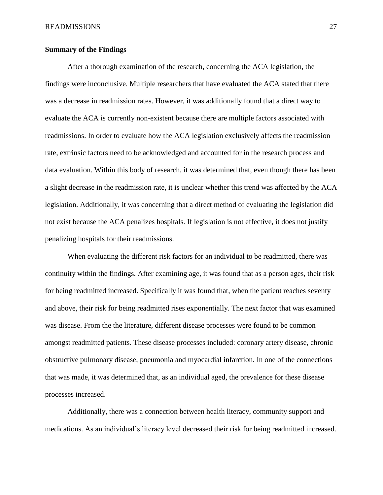# **Summary of the Findings**

After a thorough examination of the research, concerning the ACA legislation, the findings were inconclusive. Multiple researchers that have evaluated the ACA stated that there was a decrease in readmission rates. However, it was additionally found that a direct way to evaluate the ACA is currently non-existent because there are multiple factors associated with readmissions. In order to evaluate how the ACA legislation exclusively affects the readmission rate, extrinsic factors need to be acknowledged and accounted for in the research process and data evaluation. Within this body of research, it was determined that, even though there has been a slight decrease in the readmission rate, it is unclear whether this trend was affected by the ACA legislation. Additionally, it was concerning that a direct method of evaluating the legislation did not exist because the ACA penalizes hospitals. If legislation is not effective, it does not justify penalizing hospitals for their readmissions.

When evaluating the different risk factors for an individual to be readmitted, there was continuity within the findings. After examining age, it was found that as a person ages, their risk for being readmitted increased. Specifically it was found that, when the patient reaches seventy and above, their risk for being readmitted rises exponentially. The next factor that was examined was disease. From the the literature, different disease processes were found to be common amongst readmitted patients. These disease processes included: coronary artery disease, chronic obstructive pulmonary disease, pneumonia and myocardial infarction. In one of the connections that was made, it was determined that, as an individual aged, the prevalence for these disease processes increased.

Additionally, there was a connection between health literacy, community support and medications. As an individual's literacy level decreased their risk for being readmitted increased.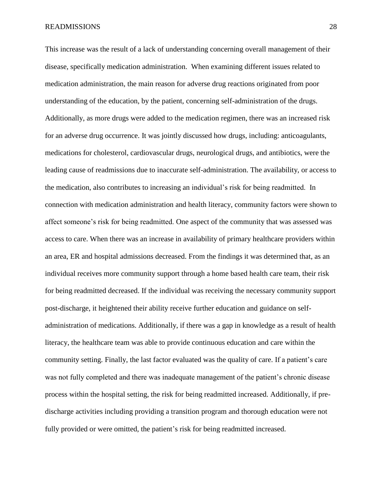This increase was the result of a lack of understanding concerning overall management of their disease, specifically medication administration. When examining different issues related to medication administration, the main reason for adverse drug reactions originated from poor understanding of the education, by the patient, concerning self-administration of the drugs. Additionally, as more drugs were added to the medication regimen, there was an increased risk for an adverse drug occurrence. It was jointly discussed how drugs, including: anticoagulants, medications for cholesterol, cardiovascular drugs, neurological drugs, and antibiotics, were the leading cause of readmissions due to inaccurate self-administration. The availability, or access to the medication, also contributes to increasing an individual's risk for being readmitted. In connection with medication administration and health literacy, community factors were shown to affect someone's risk for being readmitted. One aspect of the community that was assessed was access to care. When there was an increase in availability of primary healthcare providers within an area, ER and hospital admissions decreased. From the findings it was determined that, as an individual receives more community support through a home based health care team, their risk for being readmitted decreased. If the individual was receiving the necessary community support post-discharge, it heightened their ability receive further education and guidance on selfadministration of medications. Additionally, if there was a gap in knowledge as a result of health literacy, the healthcare team was able to provide continuous education and care within the community setting. Finally, the last factor evaluated was the quality of care. If a patient's care was not fully completed and there was inadequate management of the patient's chronic disease process within the hospital setting, the risk for being readmitted increased. Additionally, if predischarge activities including providing a transition program and thorough education were not fully provided or were omitted, the patient's risk for being readmitted increased.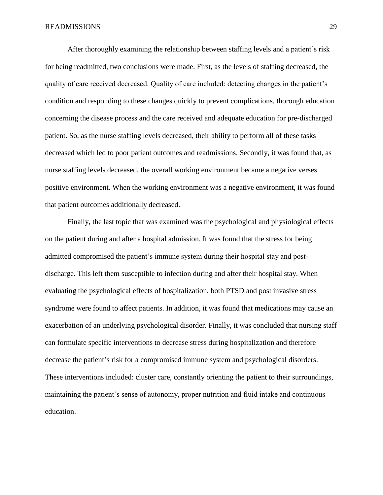After thoroughly examining the relationship between staffing levels and a patient's risk for being readmitted, two conclusions were made. First, as the levels of staffing decreased, the quality of care received decreased. Quality of care included: detecting changes in the patient's condition and responding to these changes quickly to prevent complications, thorough education concerning the disease process and the care received and adequate education for pre-discharged patient. So, as the nurse staffing levels decreased, their ability to perform all of these tasks decreased which led to poor patient outcomes and readmissions. Secondly, it was found that, as nurse staffing levels decreased, the overall working environment became a negative verses positive environment. When the working environment was a negative environment, it was found that patient outcomes additionally decreased.

Finally, the last topic that was examined was the psychological and physiological effects on the patient during and after a hospital admission. It was found that the stress for being admitted compromised the patient's immune system during their hospital stay and postdischarge. This left them susceptible to infection during and after their hospital stay. When evaluating the psychological effects of hospitalization, both PTSD and post invasive stress syndrome were found to affect patients. In addition, it was found that medications may cause an exacerbation of an underlying psychological disorder. Finally, it was concluded that nursing staff can formulate specific interventions to decrease stress during hospitalization and therefore decrease the patient's risk for a compromised immune system and psychological disorders. These interventions included: cluster care, constantly orienting the patient to their surroundings, maintaining the patient's sense of autonomy, proper nutrition and fluid intake and continuous education.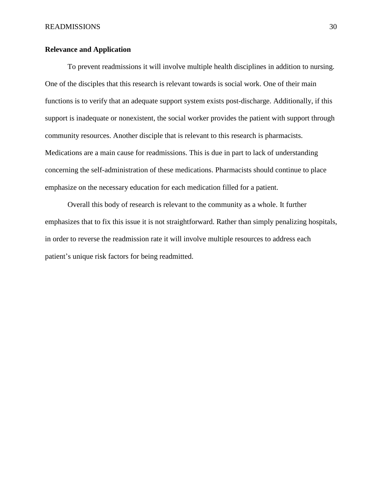# **Relevance and Application**

To prevent readmissions it will involve multiple health disciplines in addition to nursing. One of the disciples that this research is relevant towards is social work. One of their main functions is to verify that an adequate support system exists post-discharge. Additionally, if this support is inadequate or nonexistent, the social worker provides the patient with support through community resources. Another disciple that is relevant to this research is pharmacists. Medications are a main cause for readmissions. This is due in part to lack of understanding concerning the self-administration of these medications. Pharmacists should continue to place emphasize on the necessary education for each medication filled for a patient.

Overall this body of research is relevant to the community as a whole. It further emphasizes that to fix this issue it is not straightforward. Rather than simply penalizing hospitals, in order to reverse the readmission rate it will involve multiple resources to address each patient's unique risk factors for being readmitted.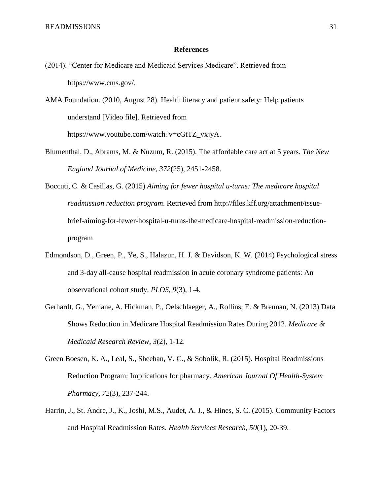#### **References**

(2014). "Center for Medicare and Medicaid Services Medicare". Retrieved from https://www.cms.gov/.

AMA Foundation. (2010, August 28). Health literacy and patient safety: Help patients understand [Video file]. Retrieved from https://www.youtube.com/watch?v=cGtTZ\_vxjyA.

- Blumenthal, D., Abrams, M. & Nuzum, R. (2015). The affordable care act at 5 years. *The New England Journal of Medicine, 372*(25), 2451-2458.
- Boccuti, C. & Casillas, G. (2015) *Aiming for fewer hospital u-turns: The medicare hospital readmission reduction program*. Retrieved from [http://files.kff.org/attachment/issue](http://files.kff.org/attachment/issue-%09brief-aiming-for-fewer-hospital-u-turns-the-medicare-hospital-readmission-reduction-%09program)[brief-aiming-for-fewer-hospital-u-turns-the-medicare-hospital-readmission-reduction](http://files.kff.org/attachment/issue-%09brief-aiming-for-fewer-hospital-u-turns-the-medicare-hospital-readmission-reduction-%09program)[program](http://files.kff.org/attachment/issue-%09brief-aiming-for-fewer-hospital-u-turns-the-medicare-hospital-readmission-reduction-%09program)
- Edmondson, D., Green, P., Ye, S., Halazun, H. J. & Davidson, K. W. (2014) Psychological stress and 3-day all-cause hospital readmission in acute coronary syndrome patients: An observational cohort study. *PLOS, 9*(3), 1-4.
- Gerhardt, G., Yemane, A. Hickman, P., Oelschlaeger, A., Rollins, E. & Brennan, N. (2013) Data Shows Reduction in Medicare Hospital Readmission Rates During 2012. *Medicare & Medicaid Research Review, 3*(2), 1-12.
- Green Boesen, K. A., Leal, S., Sheehan, V. C., & Sobolik, R. (2015). Hospital Readmissions Reduction Program: Implications for pharmacy. *American Journal Of Health-System Pharmacy*, *72*(3), 237-244.
- Harrin, J., St. Andre, J., K., Joshi, M.S., Audet, A. J., & Hines, S. C. (2015). Community Factors and Hospital Readmission Rates. *Health Services Research, 50*(1), 20-39.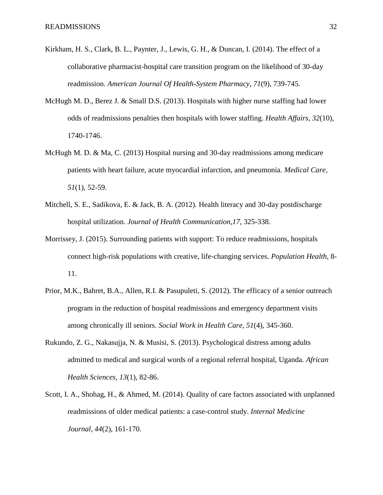- Kirkham, H. S., Clark, B. L., Paynter, J., Lewis, G. H., & Duncan, I. (2014). The effect of a collaborative pharmacist-hospital care transition program on the likelihood of 30-day readmission. *American Journal Of Health-System Pharmacy*, *71*(9), 739-745.
- McHugh M. D., Berez J. & Small D.S. (2013). Hospitals with higher nurse staffing had lower odds of readmissions penalties then hospitals with lower staffing. *Health Affairs, 32*(10), 1740-1746.
- McHugh M. D. & Ma, C. (2013) Hospital nursing and 30-day readmissions among medicare patients with heart failure, acute myocardial infarction, and pneumonia. *Medical Care, 51*(1), 52-59.
- Mitchell, S. E., Sadikova, E. & Jack, B. A. (2012). Health literacy and 30-day postdischarge hospital utilization. *Journal of Health Communication,17*, 325-338.
- Morrissey, J. (2015). Surrounding patients with support: To reduce readmissions, hospitals connect high-risk populations with creative, life-changing services. *Population Health*, 8- 11.
- Prior, M.K., Bahret, B.A., Allen, R.I. & Pasupuleti, S. (2012). The efficacy of a senior outreach program in the reduction of hospital readmissions and emergency department visits among chronically ill seniors. *Social Work in Health Care, 51*(4), 345-360.
- Rukundo, Z. G., Nakasujja, N. & Musisi, S. (2013). Psychological distress among adults admitted to medical and surgical words of a regional referral hospital, Uganda. *African Health Sciences, 13*(1), 82-86.
- Scott, I. A., Shohag, H., & Ahmed, M. (2014). Quality of care factors associated with unplanned readmissions of older medical patients: a case-control study. *Internal Medicine Journal*, *44*(2), 161-170.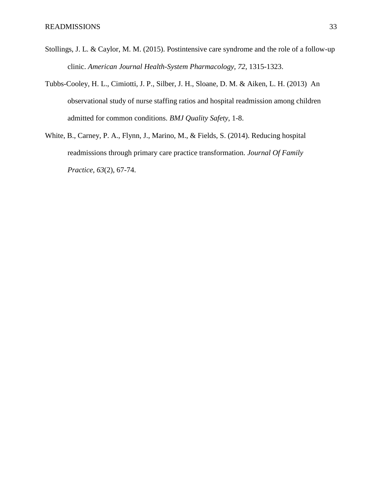- Stollings, J. L. & Caylor, M. M. (2015). Postintensive care syndrome and the role of a follow-up clinic. *American Journal Health-System Pharmacology, 72*, 1315-1323.
- Tubbs-Cooley, H. L., Cimiotti, J. P., Silber, J. H., Sloane, D. M. & Aiken, L. H. (2013) An observational study of nurse staffing ratios and hospital readmission among children admitted for common conditions. *BMJ Quality Safety,* 1-8.
- White, B., Carney, P. A., Flynn, J., Marino, M., & Fields, S. (2014). Reducing hospital readmissions through primary care practice transformation. *Journal Of Family Practice*, *63*(2), 67-74.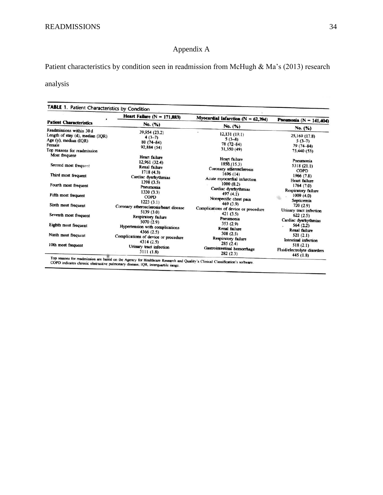# Appendix A

Patient characteristics by condition seen in readmission from McHugh & Ma's (2013) research

# analysis

# TABLE 1. Patient Characteristics by Condition

| <b>Patient Characteristics</b>              | Heart Failure ( $N = 171,883$ )<br>No. $(\%)$                                             | Myocardial Infarction $(N = 62,394)$<br>No. $(\%)$                           | Pneumonia ( $N = 141,404$ )                                                 |
|---------------------------------------------|-------------------------------------------------------------------------------------------|------------------------------------------------------------------------------|-----------------------------------------------------------------------------|
|                                             |                                                                                           |                                                                              |                                                                             |
| Second most frequent                        | 12,961 (32.4)<br>Renal failure<br>1718(4.3)                                               | 1850(15.3)<br>Coronary atherosclerosis                                       | Pneumonia<br>5318 (21.1)<br><b>COPD</b>                                     |
| Third most frequent<br>Fourth most frequent | Cardiac dysrhythmias<br>1398(3.5)<br>Pneumonia                                            | 1696(14)<br>Acute myocardial infarction<br>1000(8.2)<br>Cardiac dysrhythmias | 1966(7.8)<br><b>Heart</b> failure<br>1764(7.0)                              |
| Fifth most frequent                         | 1330(3.3)<br><b>COPD</b>                                                                  | 497 $(4.1)$<br>Nonspecific chest pain                                        | Respiratory failure<br>1009(4.0)<br>Septicemia                              |
| Sixth most frequent                         | 1223(3.1)<br>Coronary atherosclerosis/heart disease<br>5139 (3.0)                         | 469(3.9)<br>Complications of device or procedure                             | 720 (2.9)<br>Urinary tract infection                                        |
| Seventh most frequent                       | Respiratory failure<br>5070 (2.9)                                                         | 421(3.5)<br>Pneumonia<br>353(2.9)                                            | 622(2.5)<br>Cardiac dysrhythmias                                            |
| Eighth most frequent                        | Hypertension with complications<br>4366(2.5)                                              | Renal failure<br>308(2.5)                                                    | 564(2.2)<br><b>Renal failure</b>                                            |
| Ninth most frequent<br>10th most frequent   | Complications of device or procedure<br>4314(2.5)<br>Urinary tract infection<br>3111(1.8) | Respiratory failure<br>285(2.4)<br>Gastrointestinal hemorrhage<br>282(2.3)   | 521(2.1)<br>Intestinal infection<br>518(2.1)<br>Fluid/electrolyte disorders |

COPD indicates chronic obstructive pulmonary disease; IQR, interquartile range.